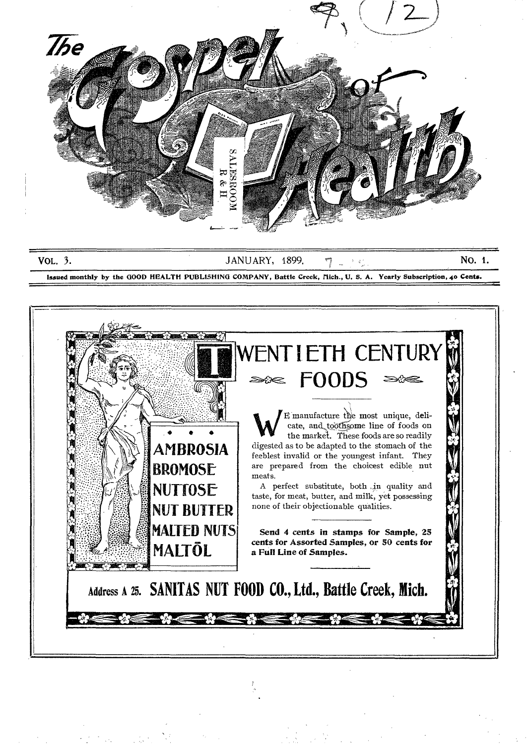

**VOL. 3. SANUARY, 1899. Example 2.1. NO. 1. NO. 1. NO. 1.** 

**Issued monthly by the GOOD HEALTH PUBLISHING COMPANY, Battle Creek, filch., U. S. A. Yearly Subscription, 40 Cents.** 

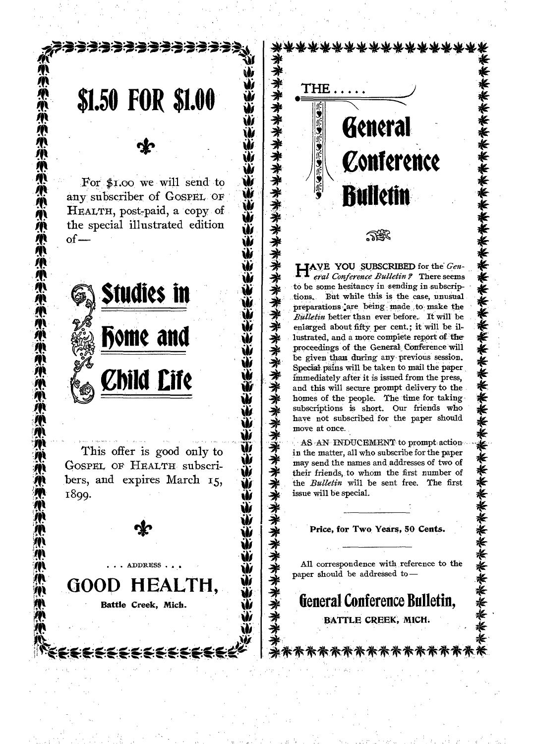# . . . . . . . . . . . . . \$1.50 FOR \$1.00 Ù For  $$1.00$  we will send to ن<br>ئاران<br>ئارا any subscriber of GOSPEL OF HEALTH, post-paid, a copy of the special illustrated edition  $of -$ Studies in Fome and Child Life This offer is good only to GOSPEL OF HEALTH subscribers, and expires March 15, 1899.

GOOD HEALTH.

ADDRESS.

Battle Creek. Mich.

General Conference Bulletin

 $\mathsf{THE}$  . .

 $|\mathbf{\hat{\zeta}}|$ 

HAVE YOU SUBSCRIBED for the General Conference Bulletin? There seems to be some hesitancy in sending in subscriptions. But while this is the case, unusual preparations are being made to make the Bulletin better than ever before. It will be enlarged about fifty per cent.; it will be illustrated, and a more complete report of the proceedings of the General Conference will be given than during any previous session. Special pains will be taken to mail the paper immediately after it is issued from the press, and this will secure prompt delivery to the homes of the people. The time for taking subscriptions is short. Our friends who have not subscribed for the paper should move at once.

老老老老老老

米米米米米米

AS AN INDUCEMENT to prompt action in the matter, all who subscribe for the paper may send the names and addresses of two of their friends, to whom the first number of the Bulletin will be sent free. The first issue will be special.

#### Price, for Two Years, 50 Cents.

All correspondence with reference to the paper should be addressed to-

General Conference Bulletin,

BATTLE CREEK, MICH.

\*\*\*\*\*\*\*\*\*\*\*\*\*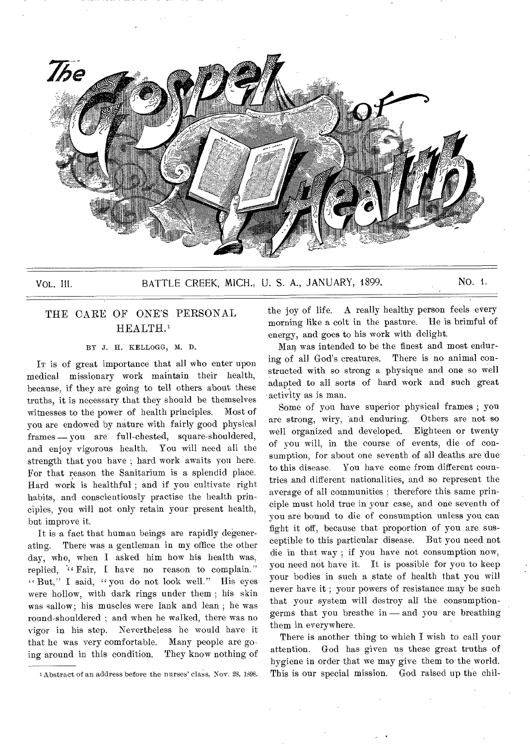

#### VoL. III. BATTLE CREEK, MICH., U. S. A., JANUARY, 1899. NO. 1.

### THE CARE OF ONE'S PERSONAL HEALTH.'

#### BY J. H. KELLOGG, M. D.

IT is of great importance that all who enter upon medical missionary work maintain their health, because, if they are going to tell others about these truths, it is necessary that they should be themselves witnesses to the power of health principles. Most of you are endowed by nature with fairly good physical frames — you are full-chested, square-shouldered, and enjoy vigorous health. You will need all the strength that you have ; hard work awaits you here. For that reason the Sanitarium is a splendid place. Hard work is healthful ; and if you cultivate right habits, and conscientiously practise the health principles, you will not only retain your present health, but improve it.

It is a fact that human beings are rapidly degenerating. There was a gentleman in my office the other day, who, when I asked him how his health was, replied, " Fair, I have no reason to complain." " But," I said, " you do not look well." His eyes were hollow, with dark rings under them ; his skin was sallow; his muscles were lank and lean ; he was round-shouldered ; and when he walked, there was no vigor in his step. Nevertheless he would have it that he was very comfortable. Many people are going around in this condition. They know nothing of the joy of life. A really healthy person feels every morning like a colt in the pasture. He is brimful of energy, and goes to his work with delight.

Man was intended to be the finest and most enduring of all God's creatures. There is no animal constructed with so strong a physique and one so well adapted to all sorts of hard work and such great activity as is man.

Some of you have superior physical frames ; you are strong, wiry, 'and enduring. Others are not so well organized and developed. Eighteen or twenty of you will, in the course of events, die of consumption, for about one seventh of all deaths are due to this disease. You have come from different countries and different nationalities, and so represent the average of all communities ; therefore this same principle must hold true in your case, and one seventh of you are bound to die of consumption unless you can fight it off, because that proportion of you are susceptible to this particular disease. But you need not die in that way ; if you have not consumption now, you need not have it. It is possible for you to keep your bodies in such a state of health that you will never have it ; your powers of resistance may be such that your system will destroy all the consumptiongerms that you breathe in — and you are breathing them in everywhere.

There is another thing to which I wish to call your attention. God has given us these great truths of hygiene in order that we may give them to the world. This is our special mission. God raised up the chil-

I Abstract of an address before the nurses' class, Nov. 28, 1898.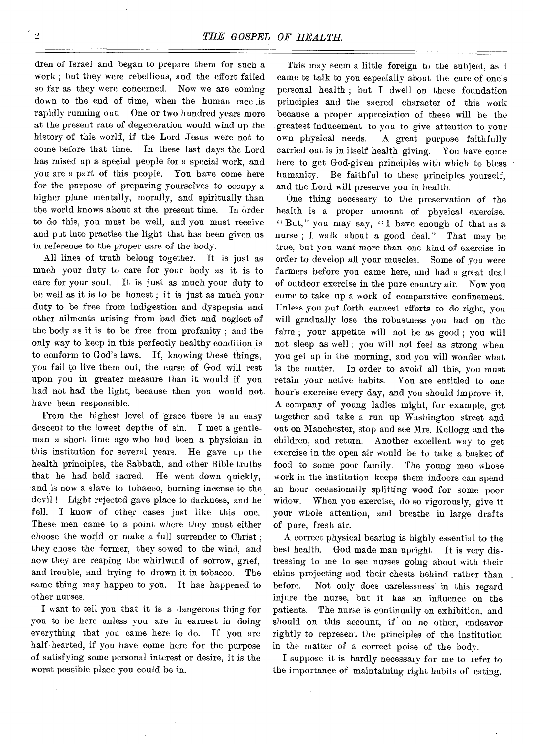dren of Israel and began to prepare them for such a work ; but they were rebellious, and the effort failed so far as they were concerned. Now we are coming down to the end of time, when the human race is rapidly running out. One or two hundred years more at the present rate of degeneration would wind up the history of this world, if the Lord Jesus were not to come before that time. In these last days the Lord has raised up a special people for a special work, and you are a part of this people. You have come here *for* the purpose *of* preparing yourselves to occupy a higher plane mentally, morally, and spiritually than the world knows about at the present time. In order to do this, you must be well, and you must receive and put into practise the light that has been given us in reference to the proper care of the body.

All lines of truth belong together. It is just as much your duty to care for your body as it is to care for your soul. It is just as much your duty to be well as it is to be honest ; it is just as much your duty to be free from indigestion and dyspepsia and other ailments arising from bad diet and neglect of the body as it is to be free from profanity ; and the only way to keep in this perfectly healthy condition is to conform to God's laws. If, knowing these things, you fail to live them out, the curse of God will rest upon you in greater measure than it would if you had not had the light, because then you would not. have been responsible.

From the highest level of grace there is an easy descent to the lowest depths of sin. I met a gentleman a short time ago who had been a physician in this institution for several years. He gave up the health principles, the Sabbath, and other Bible truths that he had held sacred. He went down quickly, and is now a slave to tobacco, burning incense to the devil ! Light rejected gave place to darkness, and he fell. I know of other cases just like this one. These men came to a point where they must either choose the world or make a full surrender to Christ they chose the former, they sowed to the wind, and now they are reaping the whirlwind of sorrow, grief, and trouble, and trying to drown it in tobacco. The same thing may happen to you. It has happened to other nurses.

I want to tell you that it is a dangerous thing for you to he here unless you are in earnest in doing everything that you came here to do. If you are half-hearted, if you have come here for the purpose of satisfying some personal interest or desire, it is the worst possible place you could be in.

This may seem a little foreign to the subject, as I came to talk to you especially about the care of one's personal health ; but I dwell on these foundation principles and the sacred character of this work because a proper appreciation of these will be the greatest inducement to you to give attention to your<br>own physical needs. A great purpose faithfully A great purpose faithfully carried out is in itself health giving. You have come here to get God-given principles with which to bless humanity. Be faithful to these principles yourself, and the Lord will preserve you in health.

One thing necessary to the preservation of the health is a proper amount of physical exercise. "But," you may say, "I have enough of that as a nurse ; I walk about a good deal." That may be true, but you want more than one kind of exercise in order to develop all your muscles. Some of you were farmers before you came here, and had a great deal of outdoor exercise in the pure country air. Now you come to take up a work of comparative confinement. Unless you put forth earnest efforts to do right, you will gradually lose the robustness you had on the farm ; your appetite will not be as good ; you will not sleep as well ; you will not feel as strong when you get up in the morning, and you will wonder what is the matter. In order to avoid all this, you must retain your active habits. You are entitled to one hour's exercise every day, and you should improve it. A company of young ladies might, for example, get together and take a run up Washington street and out on Manchester, stop and see Mrs. Kellogg and the children, and return. Another excellent way to get exercise in the open air would be to take a basket of food to some poor family. The young men whose work in the institution keeps them indoors can spend an hour occasionally splitting wood for some poor widow. When you exercise, do so vigorously, give it your whole attention, and breathe in large drafts of pure, fresh air.

A correct physical bearing is highly essential to the best health. God made man upright. It is very distressing to me to see nurses going about with their chins projecting and their chests behind rather than before. Not only does carelessness in this regard injure the nurse, but it has an influence on the patients. The nurse is continually on exhibition, and should on this account, if on no other, endeavor rightly to represent the principles of the institution in the matter of a correct poise of the body.

I suppose it is hardly necessary for me to refer to the importance of maintaining right habits of eating.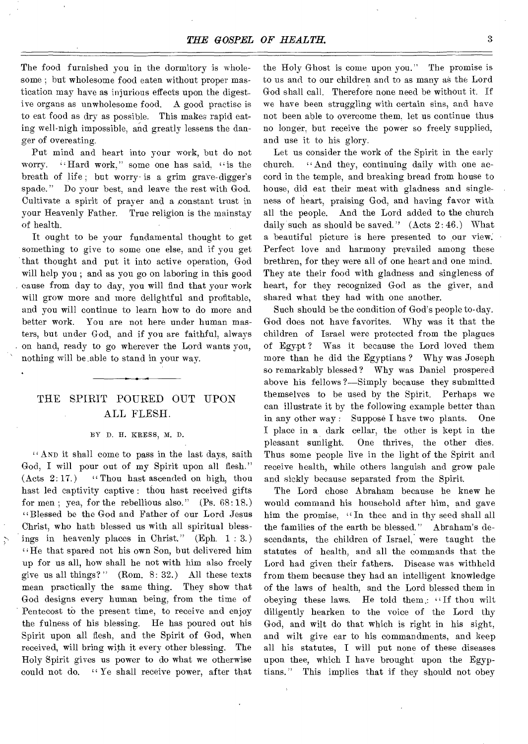The food furnished you in the dormitory is wholesome ; but wholesome food eaten without proper mastication may have as injurious effects upon the digestive organs as unwholesome food. A good practise is to eat food as dry as possible. This makes rapid eating well-nigh impossible, and greatly lessens the danger of overeating.

Put mind and heart into your work, but do not worry. "Hard work," some one has said, "is the breath of life ; but worry is a grim grave-digger's spade." Do your best, and leave the rest with God. Cultivate a spirit of prayer and a constant trust in your Heavenly Father. True religion is the mainstay of health.

It ought to be your fundamental thought to get something to give to some one else, and if you get that thought and put it into active operation, God will help you ; and as you go on laboring in this good cause from day to day, you will find that your work will grow more and more delightful and profitable, and you will continue to learn how to do more and better work. You are not here under human masters, but under God, and if you are faithful, always on hand, ready to go wherever the Lord wants you, nothing will be able to stand in your way.

### THE SPIRIT POURED OUT UPON ALL FLESH.

#### BY D. H. KRESS, M. D.

" AND it shall come to pass in the last days, saith God, I will pour out of my Spirit upon all flesh."<br>(Acts  $2:17.$ ) "Thou hast ascended on high, thou "Thou hast ascended on high, thou hast led captivity captive : thou hast received gifts for men ; yea, for the rebellious also." (Ps. 68: 18.) "Blessed be the God and Father of our Lord Jesus Christ, who hath blessed us with all spiritual blessings in heavenly places in Christ." (Eph. 1 : 3.) He that spared not his own Son, but delivered him up for us all, how shall he not with him also freely give us all things? " (Rom. 8: 32.) All these texts mean practically the same thing. They show that God designs every human being, from the time of Pentecost to the present time, to receive and enjoy the fulness of his blessing. He has poured out his Spirit upon all flesh, and the Spirit of God, when received, will bring with it every other blessing. The Holy Spirit gives us power to do what we otherwise could not do.  $V_{\text{e}}$  shall receive power, after that

the Holy Ghost is come upon you." The promise is to us and to our children and to as many as the Lord God shall call. Therefore none need be without it. If we have been struggling with certain sins, and have not been able to overcome them, let us continue thus no longer. but receive the power so freely supplied, and use it to his glory.

Let us consider the work of the Spirit in the early church. "And they, continuing daily with one accord in the temple, and breaking bread from house to house, did eat their meat with gladness and singleness of heart, praising God, and having favor with all the people. And the Lord added to the church daily such as should be saved."  $(Aets 2:46.)$  What a beautiful picture is here presented to our view. Perfect love and harmony prevailed among these brethren, for they were all of one heart and one mind. They ate their food with gladness and singleness of heart, for they recognized God as the giver, and shared what they had with one another.

Such should be the condition of God's people to-day. God does not have favorites. Why was it that the children of Israel were protected from the plagues of Egypt ? Was it because the Lord loved them more than he did the Egyptians ? Why was Joseph so remarkably blessed ? Why was Daniel prospered above his fellows ?—Simply because they submitted themselves to be used by the Spirit. Perhaps we can illustrate it by the following example better than in any other way : Suppose I have two plants. One I place in a dark cellar, the other is kept in the pleasant sunlight. One thrives, the other dies. Thus some people live in the light of the Spirit and receive health, while others languish and grow pale and sickly because separated from the Spirit.

The Lord chose Abraham because he knew he would command his household after him, and gave him the promise, "In thee and in thy seed shall all the families of the earth be blessed." Abraham's descendants, the children of Israel, were taught the statutes of health, and all the commands that the Lord had given their fathers. Disease was withheld from them because they had an intelligent knowledge of the laws of health, and the Lord blessed them in obeying these laws. He told them,: < < If thou wilt diligently hearken to the voice of the Lord thy God, and wilt do that which is right in his sight, and wilt give ear to his commandments, and keep all his statutes, I will put none of these diseases upon thee, which I have brought upon the Egyptians." This implies that if they should not obey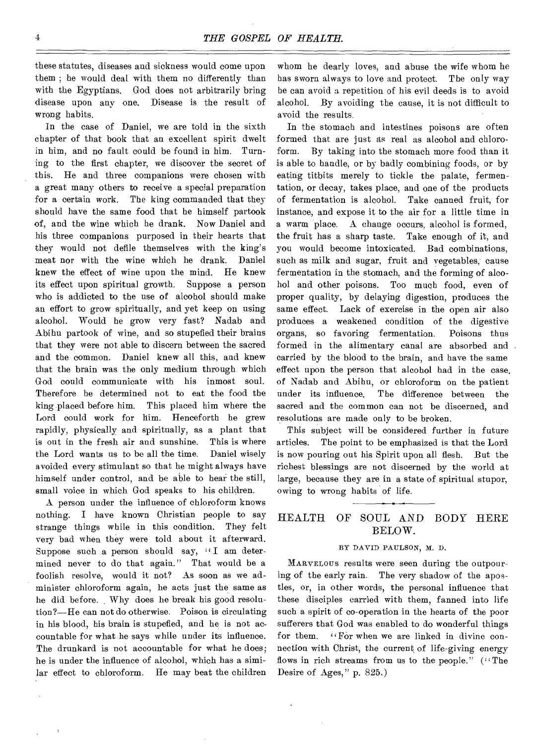these statutes, diseases and sickness would come upon them ; he would deal with them no differently than with the Egyptians. God does not arbitrarily bring disease upon any one. Disease is the result of wrong habits.

In the case of Daniel, we are told in the sixth chapter of that book that an excellent spirit dwelt in him, and no fault could be found in him. Turning to the first chapter, we discover the secret of this. He and three companions were chosen with a great many others to receive a special preparation for a certain work. The king commanded that they should have the same food that he himself partook of, and the wine which he drank. Now Daniel and his three companions purposed in their hearts that they would not defile themselves with the king's meat nor with the wine which he drank. Daniel knew the effect of wine upon the mind. He knew its effect upon spiritual growth. Suppose a person who is addicted to the use of alcohol should make an effort to grow spiritually, and yet keep on using alcohol. Would he grow very fast? Nadab and Abihu partook of wine, and so stupefied their brains that they were not able to discern between the sacred and the common. Daniel knew all this, and knew that the brain was the only medium through which God could communicate with his inmost soul. Therefore he determined not to eat the food the king placed before him. This placed him where the Lord could work for him. Henceforth he grew rapidly, physically and spiritually, as a plant that is out in the fresh air and sunshine. This is where the Lord wants us to be all the time. Daniel wisely avoided every stimulant so that he might always have himself under control, and be able to hear the still, small voice in which God speaks to his children.

A person under the influence of chloroform knows nothing. I have known Christian people to say strange things while in this condition. They felt very bad when they were told about it afterward. Suppose such a person should say,  $\lq \lq I$  am determined never to do that again." That would be a foolish resolve, would it not? As soon as we administer chloroform again, he acts just the same as he did before. Why does he break his good resolution?—He can not do otherwise. Poison is circulating in his blood, his brain is stupefied, and he is not accountable for what he says while under its influence. The drunkard is not accountable for what he does; he is under the influence of alcohol, which has a similar effect to chloroform. He may beat the children whom he dearly loves, and abuse the wife whom he has sworn always to love and protect. The only way he can avoid a repetition of his evil deeds is to avoid alcohol. By avoiding the cause, it is not difficult to avoid the results.

In the stomach and intestines poisons are often formed that are just as real as alcohol and chloroform. By taking into the stomach more food than it is able to handle, or by badly combining foods, or by eating titbits merely to tickle the palate, fermentation, or decay, takes place, and one of the products of fermentation is alcohol. Take canned fruit, for instance, and expose it to the air for a little time in a warm place. A change occurs, alcohol is formed, the fruit has a sharp taste. Take enough of it, and you would become intoxicated. Bad combinations, such as milk and sugar, fruit and vegetables, cause fermentation in the stomach, and the forming of alcohol and other poisons. Too much food, even of proper quality, by delaying digestion, produces the same effect. Lack of exercise in the open air also produces a weakened condition of the digestive organs, so favoring fermentation. Poisons thus formed in the alimentary canal are absorbed and carried by the blood to the brain, and have the same effect upon the person that alcohol had in the case, of Nadab and Abihu, or chloroform on the patient under its influence. The difference between the sacred and the common can not be discerned, and resolutions are made only to be broken.

This subject will be considered further in future articles. The point to be emphasized is that the Lord is now pouring out his Spirit upon all flesh. But the richest blessings are not discerned by the world at large, because they are in a state of spiritual stupor, owing to wrong habits of life.

#### HEALTH OF SOUL AND BODY HERE BELOW.

#### BY DAVID PAULSON, M. D.

MARVELOUS results were seen during the outpouring of the early rain. The very shadow of the apostles, or, in other words, the personal influence that these disciples carried with them, fanned into life such a spirit of co-operation in the hearts of the poor sufferers that God was enabled to do wonderful things for them. "For when we are linked in divine connection with Christ, the current of life-giving energy flows in rich streams from us to the people." ("The Desire of Ages," p. 825.)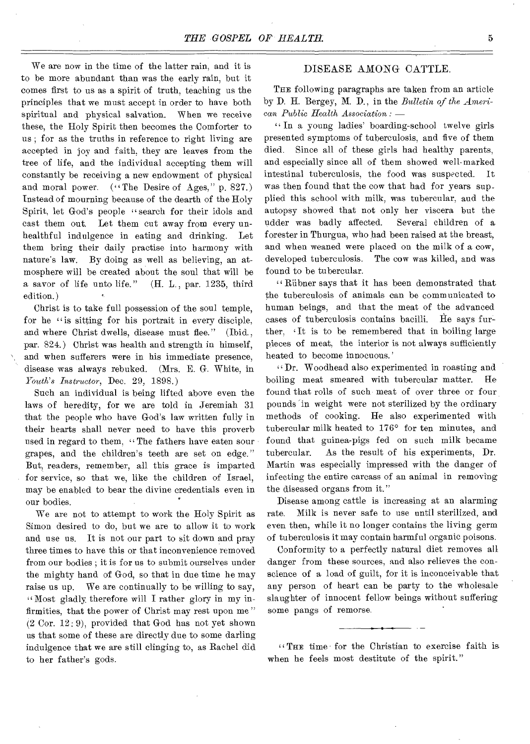We are now in the time of the latter rain, and it is to be more abundant than was the early rain, but it comes first to us as a spirit of truth, teaching us the principles that we must accept in order to have both spiritual and physical salvation. When we receive these, the Holy Spirit then becomes the Comforter to us ; for as the truths in reference to right living are accepted in joy and faith, they are leaves from the tree of life, and the individual accepting them will constantly be receiving a new endowment of physical and moral power. ("The Desire of Ages," p. 827.) Instead of mourning because of the dearth of the Holy Spirit, let God's people "search for their idols and cast them out. Let them cut away from every unhealthful indulgence in eating and drinking. Let them bring their daily practise into harmony with nature's law. By doing as well as believing, an atmosphere will be created about the soul that will be a savor of life unto life." (H. L., par. 1235, third edition.)

Christ is to take full possession of the soul temple, for he "is sitting for his portrait in every disciple, and where Christ dwells, disease must flee." (Ibid., par. 824.) Christ was health and strength in himself, and when sufferers were in his immediate presence, disease was always rebuked. (Mrs. E. G. White, in *Youth's Instructor,* Dec. 29, 1898.)

Such an individual is being lifted above even the laws of heredity, for we are told in Jeremiah 31 that the people who have God's law written fully in their hearts shall never need to have this proverb used in regard to them, "The fathers have eaten sour grapes, and the children's teeth are set on edge." But, readers, remember, all this grace is imparted for service, so that we, like the children of Israel, may be enabled to bear the divine credentials even in our bodies.

We are not to attempt to work the Holy Spirit as Simon desired to do, but we are to allow it to work and use us. It is not our part to sit down and pray three times to have this or that inconvenience removed from our bodies ; it is for us to submit ourselves under the mighty hand of God, so that in due time he may raise us up. We are continually to be willing to say, "Most gladly therefore will I rather glory in my infirmities, that the power of Christ may rest upon me" (2 Cor. 12: 9), provided that God has not yet shown us that some of these are directly due to some darling indulgence that we are still clinging to, as Rachel did to her father's gods.

#### DISEASE AMONG CATTLE.

THE following paragraphs are taken from an article by D. H. Bergey, M. D., in the *Bulletin of the American Public Health Association : —* 

*"* In a young ladies' boarding-school twelve girls presented symptoms of tuberculosis, and five of them died. Since all of these girls had healthy parents, and especially since all of them showed well-marked intestinal tuberculosis, the food was suspected. It was then found that the cow that had for years supplied this school with milk, was tubercular, and the autopsy showed that not only her viscera but the udder was badly affected. Several children of a forester in Thurgua, who had been raised at the breast, and when weaned were placed on the milk of a cow, developed tuberculosis. The cow was killed, and was found to be tubercular.

Riibner says that it has been demonstrated that the tuberculosis of animals can be communicated to human beings, and that the meat of the advanced cases of tuberculosis contains bacilli. He says further, 'It is to be remembered that in boiling large pieces of meat, the interior is not always sufficiently heated to become innocuous.'

" Dr. Woodhead also experimented in roasting and boiling meat smeared with tubercular matter. He found that rolls of such meat of over three or four pounds 'in weight were not sterilized by the ordinary methods of cooking. He also experimented with tubercular milk heated to 176° for ten minutes, and found that guinea-pigs fed on such milk became tubercular. As the result of his experiments, Dr. Martin was especially impressed with the danger of infecting the entire carcass of an animal in removing the diseased organs from it."

Disease among cattle is increasing at an alarming rate. Milk is never safe to use until sterilized, and even then, while it no longer contains the living germ of tuberculosis it may contain harmful organic poisons.

Conformity to a perfectly natural diet removes all danger from these sources, and also relieves the conscience of a load of guilt, for it is inconceivable that any person of heart can be party to the wholesale slaughter of innocent fellow beings without suffering some pangs of remorse.

" THE time for the Christian to exercise faith is when he feels most destitute of the spirit."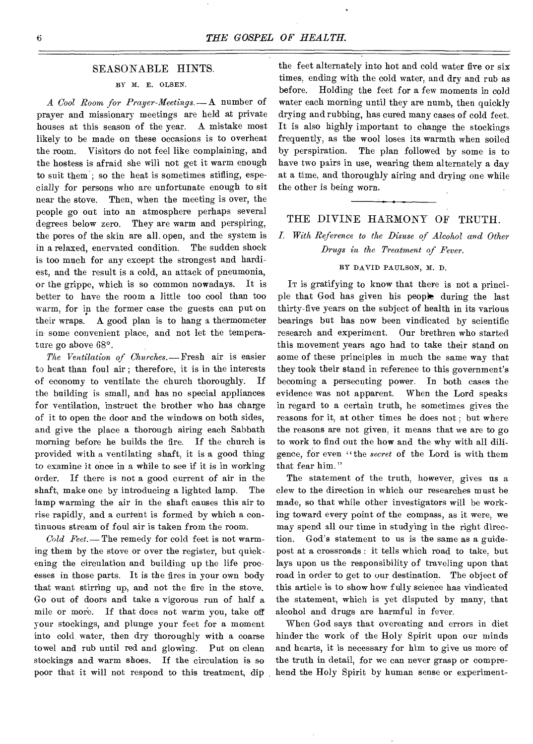#### SEASONABLE HINTS.

#### BY M. E. OLSEN.

A *Cool Room for Prayer-Meetings.—* A number of prayer and missionary meetings are held at private houses at this season of the year. A mistake most likely to be made on these occasions is to overheat the room. Visitors do not feel like complaining, and the hostess is afraid she will not get it warm enough to suit them; so the heat is sometimes stifling, especially for persons who are unfortunate enough to sit near the stove. Then, when the meeting is over, the people go out into an atmosphere perhaps several degrees below zero. They are warm and perspiring, the pores of the skin are all. open, and the system is in a relaxed, enervated condition. The sudden shock is too much for any except the strongest and hardiest, and the result is a cold, an attack of pneumonia, or the grippe, which is so common nowadays. It is better to have the room a little too cool than too warm, for in the former case the guests can put on their wraps. A good plan is to hang a thermometer in some convenient place, and not let the temperature go above 68°.

*The Ventilation of Churches.* —Fresh air is easier to heat than foul air ; therefore, it is in the interests of economy to ventilate the church thoroughly. If the building is small, and has no special appliances for ventilation, instruct the brother who has charge of it to open the door and the windows on both sides, and give the place a thorough airing each Sabbath morning before he builds the fire. If the church is provided with a ventilating shaft, it is a good thing to examine it once in a while to see if it is in working order. If there is not a good current of air in the shaft, make one by introducing a lighted lamp. The lamp warming the air in the shaft causes this air to rise rapidly, and a current is formed by which a continuous stream of foul air is taken from the room.

*Cold Feet.—* The remedy for cold feet is not warming them by the stove or over the register, but quickening the circulation and building up the life processes in those parts. It is the fires in your own body that want stirring up, and not the fire in the stove. Go out of doors and take a vigorous run of half a mile or more. If that does not warm you, take off your stockings, and plunge your feet for a moment into cold, water, then dry thoroughly with a coarse towel and rub until red and glowing. Put on clean stockings and warm shoes. If the circulation is so poor that it will not respond to this treatment, dip

the feet alternately into hot and cold water five or six times, ending with the cold water, and dry and rub as before. Holding the feet for a few moments in cold water each morning until they are numb, then quickly drying and rubbing, has cured many cases of cold feet. It is also highly important to change the stockings frequently, as the wool loses its warmth when soiled by perspiration. The plan followed by some is to have two pairs in use, wearing them alternately a day at a time, and thoroughly airing and drying one while the other is being worn.

#### THE DIVINE HARMONY OF TRUTH.

I *With Reference to the Disuse of Alcohol and Other Drugs in the Treatment of Fever.* 

#### BY DAVID PAULSON, M. D.

IT is gratifying to know that there is not a principle that God has given his people during the last thirty-five years on the subject of health in its various bearings but has now been vindicated by scientific research and experiment. Our brethren who started this movement years ago had to take their stand on some of these principles in much the same way that they took their stand in reference to this government's becoming a persecuting power. In both cases the evidence was not apparent. When the Lord speaks in regard to a certain truth, he sometimes gives the reasons for it, at other times he does not ; but where the reasons are not given, it means that we are to go to work to find out the how and the why with all diligence, for even " the *secret* of the Lord is with them that fear him."

The statement of the truth, however, gives us a clew to the direction in which our researches must he made, so that while other investigators will be working toward every point of the compass, as it were, we may spend all our time in studying in the right direction. God's statement to us is the same as a guidepost at a crossroads : it tells which road to take, but lays upon us the responsibility of traveling upon that road in order to get to our destination. The object of this article is to show how fully science has vindicated the statement, which is yet disputed by many, that alcohol and drugs are harmful in fever.

When God says that overeating and errors in diet hinder the work of the Holy Spirit upon our minds and hearts, it is necessary for him to give us more of the truth in detail, for we can never grasp or comprehend the Holy Spirit by human sense or experiment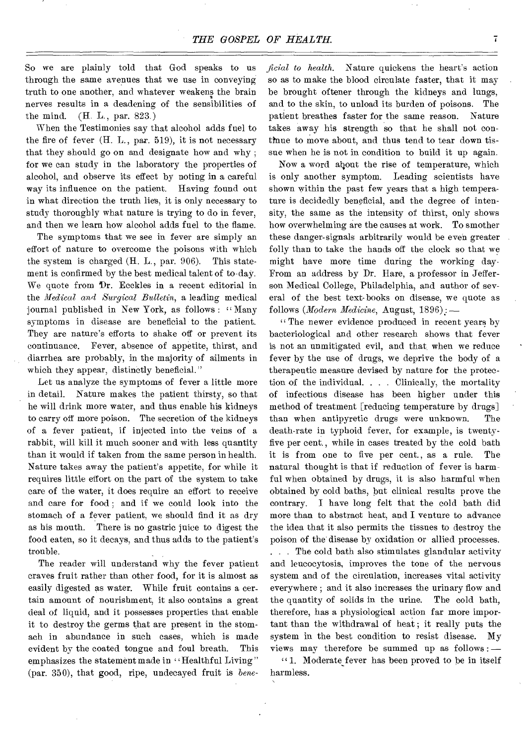So we are plainly told that God speaks to us through the same avenues that we use in conveying truth to one another, and whatever weakens the brain nerves results in a deadening of the sensibilities of the mind. (H. L., par. 823.)

When the Testimonies say that alcohol adds fuel to the fire of fever (H. L., par. 519), it is not necessary that they should go on and designate how and why ; for we can study in the laboratory the properties of alcohol, and observe its effect by noting in a careful way its influence on the patient. Having found out in what direction the truth lies, it is only necessary to study thoroughly what nature is trying to do in fever, and then we learn how alcohol adds fuel to the flame.

The symptoms that we see in fever are simply an effort of nature to overcome the poisons with which the system is charged (H. L., par. 906). This statement is confirmed by the best medical talent of to-day. We quote from Dr. Ecckles in a recent editorial in the *Medical and Surgical Bulletin,* a leading medical journal published in New York, as follows : "Many symptoms in disease are beneficial to the patient. They are nature's efforts to shake off or prevent its continuance. Fever, absence of appetite, thirst, and diarrhea are probably, in the majority of ailments in which they appear, distinctly beneficial."

Let us analyze the symptoms of fever a little more in detail. Nature makes the patient thirsty, so that he will drink more water, and thus enable his kidneys to carry off more poison. The secretion of the kidneys of a fever patient, if injected into the veins of a rabbit, will kill it much sooner and with less quantity than it would if taken from the same person in health. Nature takes away the patient's appetite, for while it requires little effort on the part of the system to take care of the water, it does require an effort to receive and care for food ; and if we could look into the stomach of a fever patient, we should find it as dry as his mouth. There is no gastric juice to digest the food eaten, so it decays, and thus adds to the patient's trouble.

The reader will understand why the fever patient craves fruit rather than other food, for it is almost as easily digested as water. While fruit contains a certain amount of nourishment, it also contains a great deal of liquid, and it possesses properties that enable it to destroy the germs that are present in the stomach in abundance in such cases, which is made evident by the coated tongue and foul breath. This emphasizes the statement made in "Healthful Living" (par. 350), that good, ripe, undecayed fruit is *bene-*  *,ficial to health.* Nature quickens the heart's action so as to make the blood circulate faster, that it may be brought oftener through the kidneys and lungs, and to the skin, to unload its burden of poisons. The patient breathes faster for the same reason. Nature takes away his strength so that he shall not conttnue to move about, and thus tend to tear down tissue when he is not in condition to build it up again.

Now a word about the rise of temperature, which is only another symptom. Leading scientists have shown within the past few years that a high temperature is decidedly beneficial, and the degree of intensity, the same as the intensity of thirst, only shows how overwhelming are the causes at work. To smother these danger-signals arbitrarily would be even greater folly than to take the hands off the clock so that we might have more time during the working day-From an address by Dr. Hare, a professor in Jefferson Medical College, Philadelphia, and author of several of the best text-books on disease, we quote as follows *(Modern Medicine,* August, 1896):—

"The newer evidence produced in recent years by bacteriological and other research shows that fever is not an unmitigated evil, and that when we reduce fever by the use of drugs, we deprive the body of a therapeutic measure devised by nature for the protection of the individual. . . . Clinically, the mortality of infectious disease has been higher under this method of treatment [reducing temperature by drugs] than when antipyretic drugs were unknown. The death-rate in typhoid fever, for example, is twentyfive per cent., while in cases treated by the cold bath it is from one to five per cent., as a rule. The natural thought is that if reduction of fever is harmful when obtained by drugs, it is also harmful when obtained by cold baths, but clinical results prove the contrary. I have long felt that the cold bath did more than to abstract heat, and I venture to advance the idea that it also permits the tissues to destroy the poison of the' disease by oxidation or allied processes. . . . The cold bath also stimulates glandular activity and leucocytosis, improves the tone of the nervous system and of the circulation, increases vital activity everywhere ; and it also increases the urinary flow and the quantity of solids in the urine. The cold bath, therefore, has a physiological action far more important than the withdrawal of heat ; it really puts the system in the best condition to resist disease. My views may therefore be summed up as follows :

 $41.$  Moderate fever has been proved to be in itself harmless.

 $\overline{1}$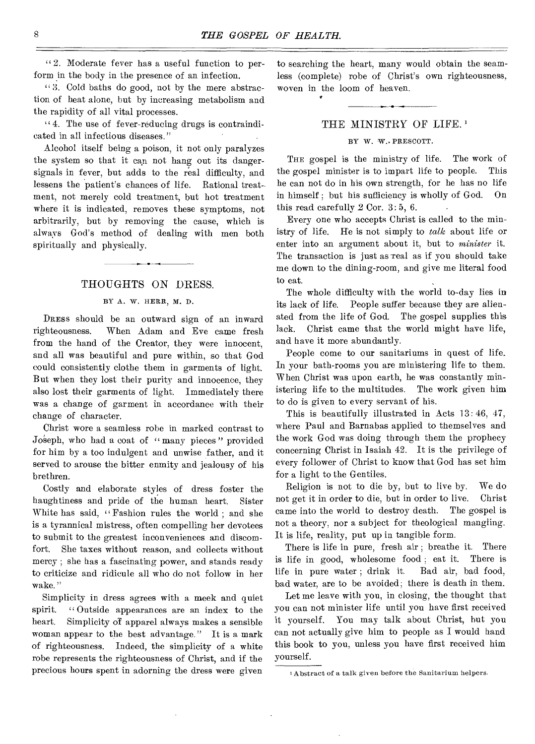$42$ . Moderate fever has a useful function to perform in the body in the presence of an infection.

 $4.3$ . Cold baths do good, not by the mere abstraction of heat alone, but by increasing metabolism and the rapidity of all vital processes.

 $4.$  The use of fever-reducing drugs is contraindicated in all infectious diseases."

Alcohol itself being a poison, it not only paralyzes the system so that it can not hang out its dangersignals in fever, but adds to the real difficulty, and lessens the patient's chances of life. Rational treatment, not merely cold treatment, but hot treatment where it is indicated, removes these symptoms, not arbitrarily, but by removing the cause, which is always God's method of dealing with men both spiritually and physically.

#### THOUGHTS ON DRESS.

#### BY A. W. HERR, M. D.

DRESS should be an outward sign of an inward righteousness. When Adam and Eve came fresh from the hand of the Creator, they were innocent, and all was beautiful and pure within, so that God could consistently clothe them in garments of light. But when they lost their purity and innocence, they also lost their garments of light. Immediately there was a change of garment in accordance with their change of character.

Christ wore a seamless robe in marked contrast to Joseph, who had a coat of "many pieces" provided for him by a too indulgent and unwise father, and it served to arouse the bitter enmity and jealousy of his brethren.

Costly and elaborate styles of dress foster the haughtiness and pride of the human heart. Sister White has said, "Fashion rules the world ; and she is a tyrannical mistress, often compelling her devotees to submit to the greatest inconveniences and discomfort. She taxes without reason, and collects without mercy ; she has a fascinating power, and stands ready to criticize and ridicule all who do not follow in her wake."

Simplicity in dress agrees with a meek and quiet spirit. "Outside appearances are an index to the heart. Simplicity of apparel always makes a sensible woman appear to the best advantage." It is a mark of righteousness. Indeed, the simplicity of a white robe represents the righteousness of Christ, and if the precious hours spent in adorning the dress were given

to searching the heart, many would obtain the seamless (complete) robe of Christ's own righteousness, woven in the loom of heaven.

#### THE MINISTRY OF LIFE.<sup>1</sup>

#### BY W. W.. PRESCOTT.

THE gospel is the ministry of life. The work of the gospel minister is to impart life to people. This he can not do in his own strength, for he has no life in himself ; but his sufficiency is wholly of God. On this read carefully 2 Cor. 3: 5, 6.

Every one who accepts Christ is called to the ministry of life. He is not simply to *talk* about life or enter into an argument about it, but to *minister* it. The transaction is just as real as if you should take me down to the dining-room, and give me literal food to eat.

The whole difficulty with the world to-day lies in its lack of life. People suffer because they are alienated from the life of God. The gospel supplies this lack. Christ came that the world might have life, and have it more abundantly.

People come to our sanitariums in quest of life. In your bath-rooms you are ministering life to them. When Christ was upon earth, he was constantly ministering life to the multitudes. The work given him to do is given to every servant of his.

This is beautifully illustrated in Acts 13: 46, 47, where Paul and Barnabas applied to themselves and the work God was doing through them the prophecy concerning Christ in Isaiah 42. It is the privilege of every follower of Christ to know that God has set him for a light to the Gentiles.

Religion is not to die by, but to live by. We do not get it in order to die, but in order to live. Christ came into the world to destroy death. The gospel is not a theory, nor a subject for theological mangling. It is life, reality, put up in tangible form.

There is life in pure, fresh air ; breathe it. There is life in good, wholesome food ; eat it. There is life in pure water ; drink it. Bad air, bad food, bad water, are to be avoided; there is death in them.

Let me leave with you, in closing, the thought that you can not minister life until you have first received it yourself. You may talk about Christ, but you can not actually give him to people as I would hand this book to you, unless you have first received him yourself.

I Abstract of a talk given before the Sanitarium helpers.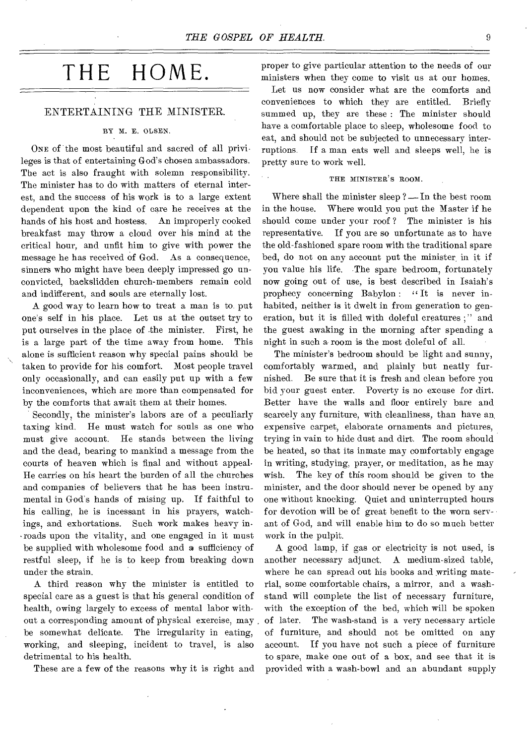# THE HOME.

#### ENTERTAINING THE MINISTER.

#### BY M. E. OLSEN.

ONE of the most beautiful and sacred of all privileges is that of entertaining God's chosen ambassadors. The act is also fraught with solemn responsibility. The minister has to do with matters of eternal interest, and the success of his work is to a large extent dependent upon the kind of care he receives at the hands of his host and hostess. An improperly cooked breakfast may throw a cloud over his mind at the critical hour, and unfit him to give with power the message he has received of God. As a consequence, sinners who might have been deeply impressed go unconvicted, backslidden church-members remain cold and indifferent, and souls are eternally lost.

A good way to learn how to treat a man is to put one's self in his place. Let us at the outset try to put ourselves in the place of the minister. First, he is a large part of the time away from home. This alone is sufficient reason why special pains should be taken to provide for his comfort. Most people travel only occasionally, and can easily put up with a few inconveniences, which are more than compensated for by the comforts that await them at their homes.

Secondly, the minister's labors are of a peculiarly taxing kind. He must watch for souls as one who must give account. He stands between the living and the dead, bearing to mankind a message from the courts of heaven which is final and without appeal. He carries on his heart the burden of all the churches and companies of believers that he has been instrumental in God's hands of raising up. If faithful to his calling, he is incessant in his prayers, watchings, and exhortations. Such work makes heavy inroads upon the vitality, and one engaged in it must be supplied with wholesome food and a sufficiency of restful sleep, if he is to keep from breaking down under the strain.

A third reason why the minister is entitled to special care as a guest is that his general condition of health, owing largely to excess of mental labor without a corresponding amount of physical exercise, may be somewhat delicate. The irregularity in eating, working, and sleeping, incident to travel, is also detrimental to his health.

These are a few of the reasons why it is right and

proper to give particular attention to the needs of our ministers when they come to visit us at our homes.

Let us now consider what are the comforts and conveniences to which they are entitled. Briefly summed up, they are these : The minister should have a comfortable place to sleep, wholesome food to eat, and should not be subjected to unnecessary interruptions. If a man eats well and sleeps well, he is pretty sure to work well.

#### THE MINISTER'S ROOM.

Where shall the minister sleep ? — In the best room in the house. Where would you put the Master if he should come under your roof ? The minister is his representative. If you are so unfortunate as to have the old-fashioned spare room with the traditional spare bed, do not on any account put the minister, in it if you value his life. The spare bedroom, fortunately now going out of use, is best described in Isaiah's prophecy concerning Babylon : "It is never inhabited, neither is it dwelt in from generation to generation, but it is filled with doleful creatures ;" and the guest awaking in the morning after spending a night in such a room is the most doleful of all.

The minister's bedroom should be light and sunny, comfortably warmed, and plainly but neatly furnished. Be sure that it is fresh and clean before you bid your guest enter. Poverty is no excuse for dirt. Better have the walls and floor entirely bare and scarcely any furniture, with cleanliness, than have an expensive carpet, elaborate ornaments and pictures, trying in vain to hide dust and dirt. The room should be heated, so that its inmate may comfortably engage in writing, studying, prayer, or meditation, as he may wish. The key of this room should be given to the minister, and the door should never be opened by any one without knocking. Quiet and uninterrupted hours for devotion will be of great benefit to the worn servant of God, and will enable him to do so much better work in the pulpit.

A good lamp, if gas or electricity is not used, is another necessary adjunct. A medium-sized table, where he can spread out his books and writing material, some comfortable chairs, a mirror, and a washstand will complete the list of necessary furniture, with the exception of the bed, which will be spoken of later. The wash-stand is a very necessary article of furniture, and should not be omitted on any account. If you have not such a piece of furniture to spare, make one out of a box, and see that it is provided with a wash-bowl and an abundant supply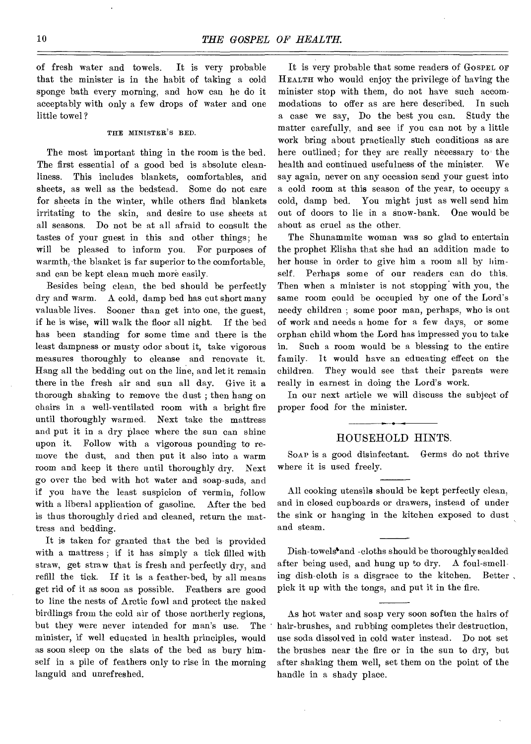of fresh water and towels. It is very probable that the minister is in the habit of taking a cold sponge bath every morning, and how can he do it acceptably with only a few drops of water and one little towel ?

#### THE MINISTER'S BED.

The most important thing in the room is the bed. The first essential of a good bed is absolute cleanliness. This includes blankets, comfortables, and sheets, as well as the bedstead. Some do not care for sheets in the winter, while others find blankets irritating to the skin, and desire to use sheets at all seasons. Do not be at all afraid to consult the tastes of your guest in this and other things; he will be pleased to inform you. For purposes of warmth, the blanket is far superior to the comfortable, and can be kept clean much more easily.

Besides being clean, the bed should be perfectly dry and warm. A cold, damp bed has cut short many valuable lives. Sooner than get into one, the guest, if he is wise, will walk the floor all night. If the bed has been standing for some time and there is the least dampness or musty odor about it, take vigorous measures thoroughly to cleanse and renovate it. Hang all the bedding out on the line, and let it remain there in the fresh air and sun all day. Give it a thorough shaking to remove the dust ; then hang on chairs in a well-ventilated room with a bright fire until thoroughly warmed. Next take the mattress and put it in a dry place where the sun can shine upon it. Follow with a vigorous pounding to remove the dust, and then put it also into a warm room and keep it there until thoroughly dry. Next go over the bed with hot water and soap-suds, and if you have the least suspicion of vermin, follow with a liberal application of gasoline. After the bed is thus thoroughly dried and cleaned, return the mattress and bedding.

It is taken for granted that the bed is provided with a mattress ; if it has simply a tick filled with straw, get straw that is fresh and perfectly dry, and refill the tick. If it is a feather-bed, by all means get rid of it as soon as possible. Feathers are good to line the nests of Arctic fowl and protect the naked birdlings from the cold air of those northerly regions, but they were never intended for man's use. The minister, if well educated in health principles, would as soon sleep on the slats of the bed as bury himself in a pile of feathers only to rise in the morning languid and unrefreshed.

It is very probable that some readers of GOSPEL OF HEALTH who would enjoy the privilege of having the minister stop with them, do not have such accommodations to offer as are here described. In such a case we say, Do the best you can. Study the matter carefully, and see if you can not by a little work bring about practically such conditions as are here outlined; for they are really necessary to the health and continued usefulness of the minister. We say again, never on any occasion send your guest into a cold room at this season of the year, to occupy a cold, damp bed. You might just as well send him out of doors to lie in a snow-bank. One would be about as cruel as the other.

The Shunammite woman was so glad to entertain the prophet Elisha that she had an addition made to her house in order to give him a room all by himself. Perhaps some of our readers can do this. Then when a minister is not stopping with you, the same room could be occupied by one of the Lord's needy children ; some poor man, perhaps, who is out of work and needs a home for a few days, or some orphan child whom the Lord has impressed you to take in. Such a room would be a blessing to the entire family. It would have an educating effect on the children. They would see that their parents were really in earnest in doing the Lord's work.

In our next article we will discuss the subject of proper food for the minister.

#### HOUSEHOLD HINTS.

SOAP is a good disinfectant. Germs do not thrive where it is used freely.

All cooking utensils should be kept perfectly clean, and in closed cupboards or drawers, instead of under the sink or hanging in the kitchen exposed to dust and steam.

Dish-towels<sup>\*</sup> and -cloths should be thoroughly scalded after being used, and hung up to dry. A foul-smelling dish-cloth is a disgrace to the kitchen. Better , pick it up with the tongs, and put it in the fire.

As hot water and soap very soon soften the hairs of hair-brushes, and rubbing completes their destruction, use soda dissolved in cold water instead. Do not set the brushes near the fire or in the sun to dry, but after shaking them well, set them on the point of the handle in a shady place.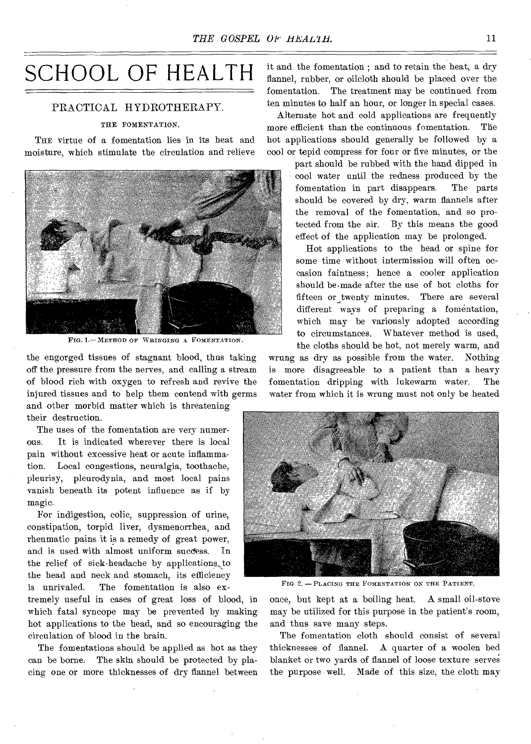# SCHOOL OF HEALTH

#### PRACTICAL HYDROTHERAPY.

#### THE FOMENTATION.

THE virtue of a fomentation lies in its heat and moisture, which stimulate the circulation and relieve



FIG. 1.- METHOD OF WRINGING A FOMENTATION.

the engorged tissues of stagnant blood, thus taking off the pressure from the nerves, and calling a stream of blood rich with oxygen to refresh and revive the injured tissues and to help them contend with germs and other morbid matter which is threatening their destruction.

The uses of the fomentation are very numerous. It is indicated wherever there is local pain without excessive heat or acute inflammation. Local congestions, neuralgia, toothache, pleurisy, pleurodynia, and most local pains vanish beneath its potent influence as if by magic.

For indigestion, colic, suppression of urine, constipation, torpid liver, dysmenorrhea, and rheumatic pains it is a remedy of great power, and is used with almost uniform success. In the relief of sick-headache by applications, to the head and neck and stomach, its efficiency is unrivaled. The fomentation is also ex-

tremely useful in cases of great loss of blood, in which fatal syncope may be prevented by making hot applications to the head, and so encouraging the circulation of blood in the brain.

The fomentations should be applied as hot as they can be borne. The skin should be protected by placing one or more thicknesses of dry flannel between it and the fomentation ; and to retain the heat, a dry flannel, rubber, or oilcloth should be placed over the fomentation. The treatment may be continued from ten minutes to half an hour, or longer in special cases.

Alternate hot and cold applications are frequently more efficient than the continuous fomentation. The hot applications should generally be followed by a cool or tepid compress for four or five minutes, or the

> part should be rubbed with the hand dipped in cool water until the redness produced by the fomentation in part disappears. The parts should be covered by dry, warm flannels after the removal of the fomentation, and so protected from the air. By this means the good effect of the application may be prolonged.

Hot applications to the head or spine for some time without intermission will often occasion faintness; hence a cooler application should be.made after the use of hot cloths for fifteen or twenty minutes. There are several different ways of preparing a fomentation, which may be variously adopted according to circumstances. Whatever method is used, the cloths should be hot, not merely warm, and

wrung as dry as possible from the water. Nothing is more disagreeable to a patient than a heavy fomentation dripping with lukewarm water. The water from which it is wrung must not only be heated



FIG. 2. - PLACING THE FOMENTATION ON THE PATIENT.

once, but kept at a boiling heat. A small oil-stove may be utilized for this purpose in the patient's room, and thus save many steps.

The fomentation cloth should consist of several thicknesses of flannel. A quarter of a woolen bed blanket or two yards of flannel of loose texture serves the purpose well. Made of this size, the cloth may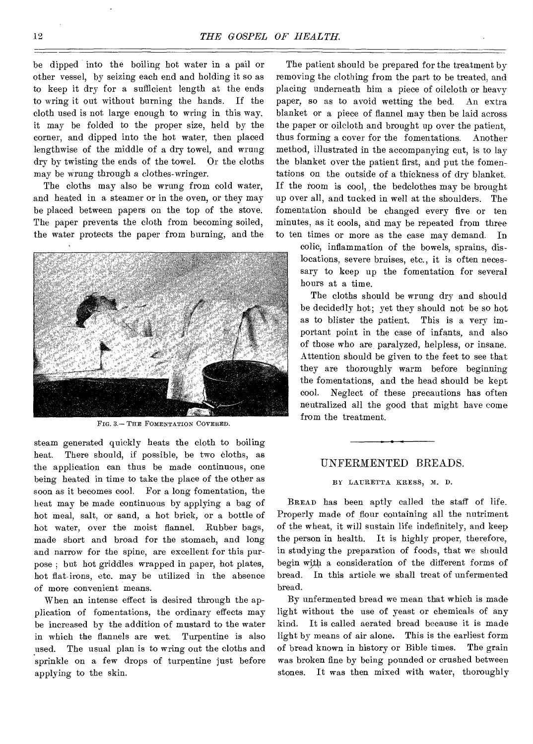be dipped into the boiling hot water in a pail or other vessel, by seizing each end and holding it so as to keep it dry for a sufficient length at the ends to wring it out without burning the hands. If the cloth used is not large enough to wring in this way, it may be folded to the proper size, held by the corner, and dipped into the hot water, then placed lengthwise of the middle of a dry towel, and wrung dry by twisting the ends of the towel. Or the cloths may be wrung through a clothes-wringer.

The cloths may also be wrung from cold water, and heated in a steamer or in the oven, or they may be placed between papers on the top of the stove. The paper prevents the cloth from becoming soiled, the water protects the paper from burning, and the



FIG. 3.- THE FOMENTATION COVERED.

steam generated quickly heats the cloth to boiling heat. There should, if possible, be two cloths, as the application can thus be made continuous, one being heated in time to take the place of the other as soon as it becomes cool. For a long fomentation, the heat may be made continuous by applying a bag of hot meal, salt, or sand, a hot brick, or a bottle of hot water, over the moist flannel. Rubber bags, made short and broad for the stomach, and long and narrow for the spine, are excellent for this purpose ; but hot griddles wrapped in paper, hot plates, hot flat irons, etc. may be utilized in the absence of more convenient means.

When an intense effect is desired through the application of fomentations, the ordinary effects may be increased by the addition of mustard to the water in which the flannels are wet. Turpentine is also used. The usual plan is to wring out the cloths and sprinkle on a few drops of turpentine just before applying to the skin.

The patient should be prepared for the treatment by removing the clothing from the part to be treated, and placing underneath him a piece of oilcloth or heavy paper, so as to avoid wetting the bed. An extra blanket or a piece of flannel may then be laid across the paper or oilcloth and brought up over the patient, thus forming a cover for the fomentations. Another method, illustrated in the accompanying cut, is to lay the blanket over the patient first, and put the fomentations on the outside of a thickness of dry blanket. If the room is cool, the bedclothes may be brought up over all, and tucked in well at the shoulders. The fomentation should be changed every five or ten minutes, as it cools, and may be repeated from three to ten times or more as the case may demand. In

> colic, inflammation of the bowels, sprains, dislocations, severe bruises, etc., it is often necessary to keep up the fomentation for several hours at a time.

> The cloths should be wrung dry and should be decidedly hot; yet they should not be so hot as to blister the patient. This is a very important point in the case of infants, and also of those who are, paralyzed, helpless, or insane. Attention should be given to the feet to see that they are thoroughly warm before beginning the fomentations, and the head should be kept cool. Neglect of these precautions has often neutralized all the good that might have come from the treatment.

#### UNFERMENTED BREADS.

BY LAURETTA KRESS, M. D.

BREAD has been aptly called the staff of life. Properly made of flour containing all the nutriment of the wheat, it will sustain life indefinitely, and keep the person in health. It is highly proper, therefore, in studying the preparation of foods, that we should begin with a consideration of the different forms of bread. In this article we shall treat of unfermented bread.

By unfermented bread we mean that which is made light without the use of yeast or chemicals of any kind. It is called aerated bread because it is made light by means of air alone. This is the earliest form of bread known in history or Bible times. The grain was broken fine by being pounded or crushed between stones. It was then mixed with water, thoroughly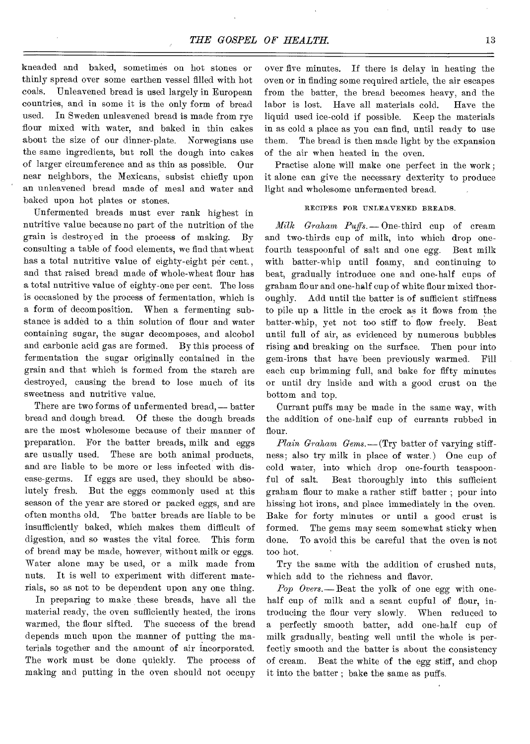kneaded and baked, sometimes on hot stones or thinly spread over some earthen vessel filled with hot coals. Unleavened bread is used largely in European countries, and in some it is the only form of bread used. In Sweden unleavened bread is made from rye flour mixed with water, and baked in thin cakes about the size of our dinner-plate. Norwegians use the same ingredients, but roll the dough into cakes of larger circumference and as thin as possible. Our near neighbors, the Mexicans, subsist chiefly upon an unleavened bread made of meal and water and baked upon hot plates or stones.

Unfermented breads must ever rank highest in nutritive value because no part of the nutrition of the grain is destroyed in the process of making. By consulting a table of food elements, we find that wheat has a total nutritive value of eighty-eight per cent., and that raised bread made of whole-wheat flour has a total nutritive value of eighty-one per cent. The loss is occasioned by the process of fermentation, which is a form of decomposition. When a fermenting substance is added to a thin solution of flour and water containing sugar, the sugar decomposes, and alcohol and carbonic acid gas are formed. By this process of fermentation the sugar originally contained in the grain and that which is formed from the starch are destroyed, causing the bread to lose much of its sweetness and nutritive value.

There are two forms of unfermented bread,— batter bread and dough bread. Of these the dough breads are the most wholesome because of their manner of preparation. For the batter breads, milk and eggs are usually used. These are both animal products, and are liable to be more or less infected with disease-germs. If eggs are used, they should be absolutely fresh. But the eggs commonly used at this season of the year are stored or packed eggs, and are often months old. The batter breads are liable to be insufficiently baked, which makes them difficult of digestion, and so wastes the vital force. This form of bread may be made, however, without milk or eggs. Water alone may be used, or a milk made from nuts. It is well to experiment with different materials, so as not to be dependent upon any one thing.

In preparing to make these breads, have all the material ready, the oven sufficiently heated, the irons warmed, the flour sifted. The success of the bread depends much upon the manner of putting the materials together and the amount of air incorporated. The work must be done quickly. The process of making and putting in the oven should not occupy

over five minutes. If there is delay in heating the oven or in finding some required article, the air escapes from the batter, the bread becomes heavy, and the labor is lost. Have all materials cold. Have the liquid used ice-cold if possible. Keep the materials in as cold a place as you can find, until ready to use them. The bread is then made light by the expansion of the air when heated in the oven.

Practise alone will make one perfect in the work ; it alone can give the necessary dexterity to produce light and wholesome unfermented bread.

#### RECIPES FOR UNLEAVENED BREADS.

*Milk Graham Puffs.—* One-third cup of cream and two-thirds cup of milk, into which drop onefourth teaspoonful of salt and one egg. Beat milk with batter-whip until foamy, and continuing to beat, gradually introduce one and one-half cups of graham flour and one-half cup of white flour mixed thoroughly. Add until the batter is of sufficient stiffness to pile up a little in the crock as it flows from the batter-whip, yet not too stiff to flow freely. Beat until full of air, as evidenced by numerous bubbles rising and breaking on the surface. Then pour into gem-irons that have been previously warmed. Fill each cup brimming full, and bake for fifty minutes or until dry inside and with a good crust on the bottom and top.

Currant puffs may be made in the same way, with the addition of one-half cup of currants rubbed in flour.

*Plain Graham Gems.—* (Try batter of varying stiffness; also try milk in place of water.) One cup of cold water, into which drop one-fourth teaspoonful of salt. Beat thoroughly into this sufficient graham flour to make a rather stiff batter ; pour into hissing hot irons, and place immediately in the oven. Bake for forty minutes or until a good crust is formed. The gems may seem somewhat sticky when done. To avoid this be careful that the oven is not too hot.

Try the same with the addition of crushed nuts, which add to the richness and flavor.

*Pop Overs.* —Beat the yolk of one egg with onehalf cup of milk and a scant cupful of flour, introducing the flour very slowly. When reduced to a perfectly smooth batter, add one-half cup of milk gradually, beating well until the whole is perfectly smooth and the batter is about the consistency of cream. Beat the white of the egg stiff, and chop it into the batter ; bake the same as puffs.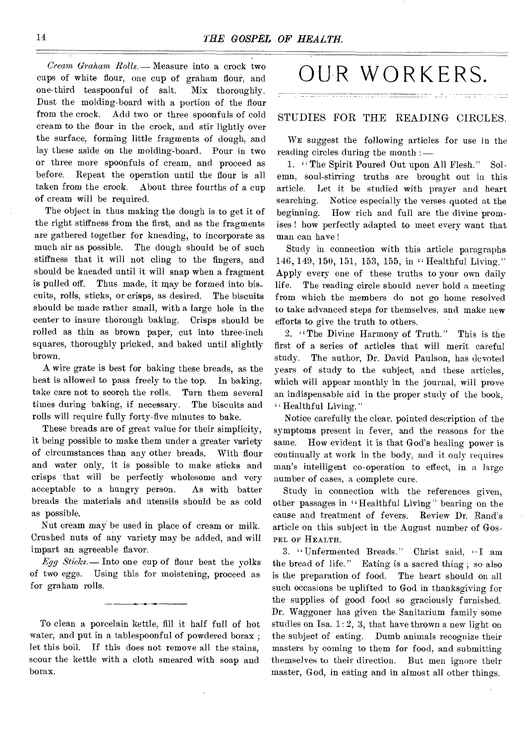*Cream Graham Rolls.— Measure* into a crock two cups of white flour, one cup of graham flour, and one-third teaspoonful of salt. Mix thoroughly. Dust the molding-board with a portion of the flour from the crock. Add two or three spoonfuls of cold cream to the flour in the crock, and stir lightly over the surface, forming little fragments of dough, and lay these aside on the molding-board. Pour in two or three more spoonfuls of cream, and proceed as before. Repeat the operation until the flour is all taken from the crock. About three fourths of a cup of cream will be required.

The object in thus making the dough is to get it of the right stiffness from the first, and as the fragments are gathered together for kneading, to incorporate as much air as possible. The dough should be of such stiffness that it will not cling to the fingers, and should be kneaded until it will snap when a fragment is pulled off. Thus made, it may be formed into biscuits, rolls, sticks, or crisps, as desired. The biscuits should be made rather small, with a large hole in the center to insure thorough baking. Crisps should be rolled as thin as brown paper, cut into three-inch squares, thoroughly pricked, and baked until slightly brown.

A wire grate is best for, baking these breads, as the heat is allowed to pass freely to the top. In baking, take care not to scorch the rolls. Turn them several times during baking, if necessary. The biscuits and rolls will require fully forty-five minutes to bake.

These breads are of great value for their simplicity, it being possible to make them under a greater variety of circumstances than any other breads. With flour and water only, it is possible to make sticks and crisps 'that will be perfectly wholesome and very acceptable to a hungry person. As with batter breads the materials and utensils should be as cold as possible.

Nut cream may be used in place of cream or milk. Crushed nuts of any variety may be added, and will impart an agreeable flavor.

*Egg Sticks.—* Into one cup of flour beat the yolks of two eggs. Using this for moistening, proceed as for graham rolls.

To clean a porcelain kettle, fill it half full of hot water, and put in a tablespoonful of powdered borax ; let this boil. If this does not remove all the stains, scour the kettle with a cloth smeared with soap and borax.

# OUR WORKERS.

دمدريت

STUDIES FOR THE READING CIRCLES.

WE suggest the following articles for use in the reading circles during the month :-

1. " The Spirit Poured Out upon All Flesh." Solemn, soul-stirring truths are brought out in this article. Let it be studied with prayer and heart searching. Notice especially the verses quoted at the beginning. How rich and full are the divine promises ! how perfectly adapted to meet every want that man can have !

Study in connection with this article paragraphs 146, 149, 150, 151, 153, 155, in " Healthful Living." Apply every one of these truths to your own daily life. The reading circle should never hold a meeting from which the members do not go home resolved to take advanced steps for themselves, and make new efforts to give the truth to others.

2. " The Divine Harmony of Truth." This is the first of a series of articles that will merit careful study. The author, Dr. David Paulson, has devoted years of study to the subject, and these articles, which will appear monthly in the journal, will prove an indispensable aid in the proper study of the book, "Healthful Living."

Notice carefully the clear, pointed description of the symptoms present in fever, and the reasons for the same. How evident it is that God's healing power is continually at work in the body, and it only requires man's intelligent co-operation to effect, in a large number of cases, a complete cure.

Study in connection with the references given, other passages in "Healthful Living" bearing on the cause and treatment of fevers. Review Dr. Rand's article on this subject in the August number of Gos-PEL OF HEALTH.

3. "Unfermented Breads." Christ said, "I am the bread of life." Eating is a sacred thing ; so also is the preparation of food. The heart should on all such occasions be uplifted to God in thanksgiving for the supplies of good food so graciously furnished. Dr. Waggoner has given the Sanitarium family some studies on Isa.  $1: 2$ , 3, that have thrown a new light on the subject of eating. Dumb animals recognize their masters by coming to them for food, and submitting themselves to their direction. But men ignore their master, God, in eating and in almost all other things.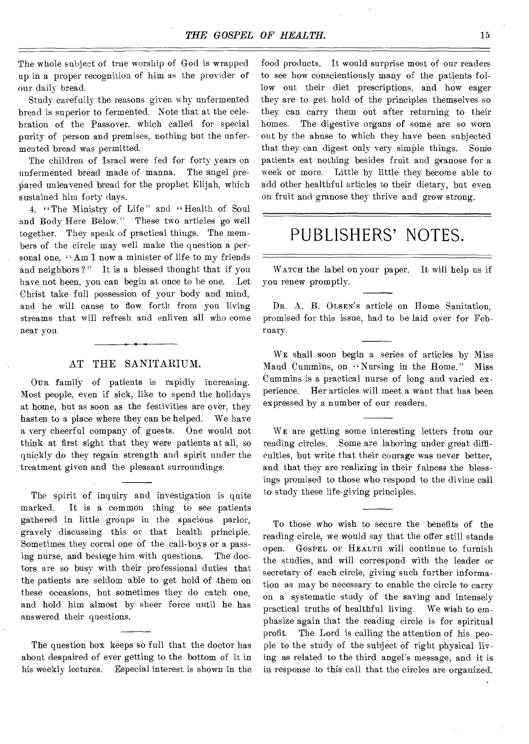The whole subject of true worship of God is wrapped up in a proper recognition of him as the provider of our daily bread.

Study carefully the reasons given why unfermented bread is superior to fermented. Note that at the celebration of the Passover, which called for special purity of person and premises, nothing but the unfermented bread was permitted.

The children of Israel were fed for forty years on unfermented bread made of manna. The angel prepared unleavened bread for the prophet Elijah, which sustained him forty days.

4. "The Ministry of Life" and "Health of Soul and Body Here Below." These two articles go well together. They speak of practical things. The members of the circle may well make the question a personal one, " Am I now a minister of life to my friends and neighbors?" It is a blessed thought that if you have not been, you can begin at once to be one. Let Christ take full possession of your body and mind, and he will cause to flow forth from you living streams that will refresh and enliven all who come near you.

#### AT THE SANITARIUM.

OUR family of patients is rapidly increasing. Most people, even if sick, like to spend the holidays at home, but as soon as the festivities are over, they hasten to a place where they can be helped. We have a very cheerful company of guests. One would not think at first sight that they were patients at all, so quickly do they regain strength and spirit under the treatment given and the pleasant surroundings.

The spirit of inquiry and investigation is quite marked. It is a common thing to see patients gathered in little groups in the spacious parlor, gravely discussing this or that health principle. Sometimes they corral one of the call-boys or a passing nurse, and besiege him with questions. The doctors are so busy with their professional duties that the patients are seldom able to get hold of them on these occasions, but sometimes they do catch one, and hold him almost by sheer force until he has answered their questions.

The question box keeps so full that the doctor has about despaired of ever getting to the bottom of it in his weekly lectures. Especial interest is shown in the food products. It would surprise most of our readers to see how conscientiously many of the patients follow out their diet prescriptions, and how eager they are to get hold of the principles themselves so they can carry them out after returning to their homes. The digestive organs of some are so worn out by the abuse to which they have been subjected that they can digest only very simple things. Some patients eat nothing besides fruit and granose for a week or more. Little by little they become able to add other healthful articles to their dietary, but even on fruit and granose they thrive and grow strong.

### PUBLISHERS' NOTES.

WATCH the label on your paper. It will help us if you renew promptly.

DR. A. B. OLSEN'S article on Home Sanitation, promised for this issue, had to be laid over for February.

WE shall soon begin a series of articles by Miss Maud Cummins, on "Nursing in the Home." Miss Cummins is a practical nurse of long and varied experience. Her articles will meet a want that has been expressed by a number of our readers.

WE are getting some interesting letters from our reading circles. Some are laboring under great difficulties, but write that their courage was never better, and that they are realizing in their fulness the blessings promised to those who respond to the divine call to study these life-giving principles.

To those who wish to secure the benefits of the reading circle, we would say that the offer still stands open. GOSPEL OF HEALTH will continue to furnish the studies, and will correspond with the leader or secretary of each circle, giving such further information as may be necessary to enable the circle to carry on a systematic study of the saving and intensely practical truths of healthful living. We wish to emphasize again that the reading circle is for spiritual profit. The Lord is calling the attention of his people to the study of the subject of right physical living as related to the third angel's message, and it is in response to this call that the circles are organized.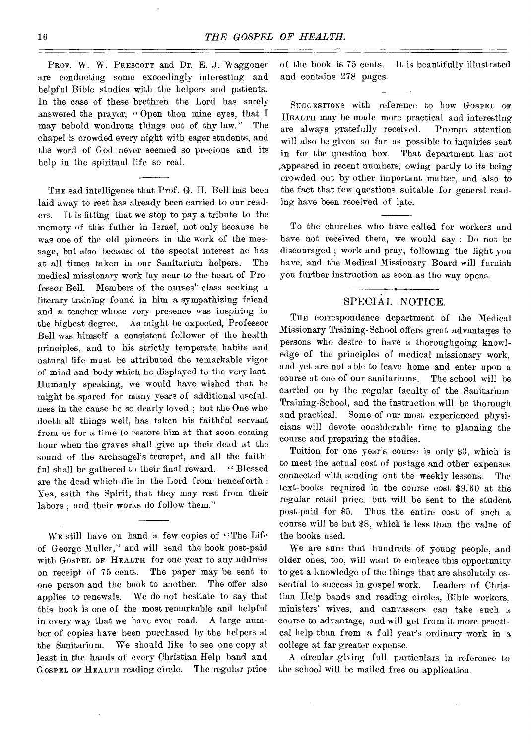PROF. W. W. PRESCOTT and Dr. E. J. Waggoner are conducting some exceedingly interesting and helpful Bible studies with the helpers and patients. In the case of these brethren the Lord has surely answered the prayer, "Open thou mine eyes, that I may behold wondrous things out of thy law." The chapel is crowded every night with eager students, and the word of God never seemed so precious and its help in the spiritual life so real.

THE sad intelligence that Prof. G. H. Bell has been laid away to rest has already been carried to our readers. It is fitting that we stop to pay a tribute to the memory of this father in Israel, not only because he was one of the old pioneers in the work of the message, but also because of the special interest he has at all times taken in our Sanitarium helpers. The medical missionary work lay near to the heart of Professor Bell. Members of the nurses' class seeking a literary training found in him a sympathizing friend and a teacher whose very presence was inspiring in the highest degree. As might be expected, Professor Bell was himself a consistent follower of the health principles, and to his strictly temperate habits and natural life must be attributed the remarkable vigor of mind and body which he displayed to the very last. Humanly speaking, we would have wished that he might be spared for many years of additional usefulness in the cause he so dearly loved ; but the One who doeth all things well, has taken his faithful servant from is for a time to restore him at that soon-coming hour when the graves shall give up their dead at the sound of the archangel's trumpet, and all the faithful shall be gathered to their final reward. " Blessed are the dead which die in the Lord from henceforth : Yea, saith the Spirit, that they may rest from their labors ; and their works do follow them."

WE still have on hand a few copies of "The Life of George Muller," and will send the book post-paid with GOSPEL OF HEALTH for one year to any address on receipt of 75 cents. The paper may be sent to one person and the book to another. The offer also applies to renewals. We do not hesitate to say that this book is one of the most remarkable and helpful in every way that we have ever read. A large number of copies have been purchased by the helpers at the Sanitarium. We should like to see one copy at least in the hands of every Christian Help band and GOSPEL OF HEALTH reading circle. The regular price

of the book is 75 cents. It is beautifully illustrated and contains 278 pages.

SUGGESTIONS with reference to how GOSPEL OF HEALTH may be made more practical and interesting are always gratefully received. Prompt attention will also be given so far as possible to inquiries sent in for the question box. That department has not ,appeared in recent numbers, owing partly to its being crowded out by other important matter, and also to the fact that few questions suitable for general reading have been received of late.

To the churches who have called for workers and have not received them, we would say : Do not be discouraged ; work and pray, following the light you have, and the Medical Missionary Board will furnish you further instruction as soon as the way opens.

#### SPECIAL NOTICE.

THE correspondence department of the Medical Missionary Training-School offers great advantages to persons who desire to have a thoroughgoing knowledge of the principles of medical missionary work, and yet are not able to leave home and enter upon a course at one of our sanitariums. The school will be carried on by the regular faculty of the Sanitarium Training-School, and the instruction will be thorough and practical. Some of our most experienced physicians will devote considerable time to planning the course and preparing the studies.

Tuition for one year's course is only \$3, which is to meet the actual cost of postage and other expenses connected with sending out the weekly lessons. The text-books required in the course cost \$9.60 at the regular retail price, but will be sent to the student post-paid for \$5. Thus the entire cost of such a course will be but \$8, which is less than the value of the books used.

We are sure that hundreds of young people, and older ones, too, will want to embrace this opportunity to get a knowledge of the things that are absolutely essential to success in gospel work. Leaders of Christian Help bands and reading circles, Bible workers, ministers' wives, and canvassers can take such a course to advantage, and will get from it more practical help than from a full year's ordinary work in a college at far greater expense.

A circular giving full particulars in reference to the school will be mailed free on application.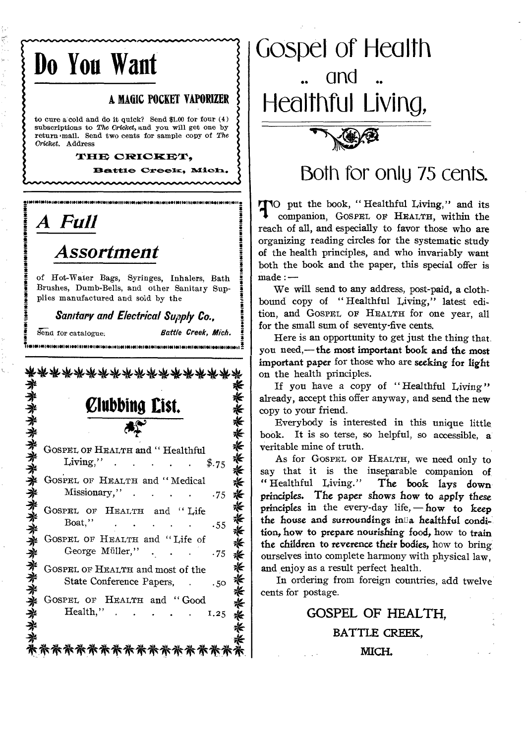# Do You Want

#### A MAGIC POCKET VAPORIZER

to cure a cold and do it quick? Send \$1.00 for four  $(4)$ subscriptions to The Cricket, and you will get one by return mail. Send two cents for sample copy of The Cricket. Address

#### THE CRICKET.

Battle Creek, Mich.

## A Full

### Assortment

of Hot-Water Bags, Syringes, Inhalers, Bath Brushes, Dumb-Bells, and other Sanitary Supplies manufactured and sold by the

Sanıtary and Electrical Supply Co.,

Send for catalogue.

Battle Creek, Mich.

.<br>Oil Olf Oli Oli Oli IOO i ül Olf Olf Oli Oli Allan lahet lainet lainud lan san sa بمرزق الترابيع المالقة المركبات الما

| GOSPEL OF HEALTH and "Healthful<br>Living,"<br>\$.75                |
|---------------------------------------------------------------------|
| GOSPEL OF HEALTH and "Medical<br>Missionary,"<br>.75                |
| "Life<br>GOSPEL OF HEALTH and<br>Boat."<br>.55                      |
| GOSPEL OF HEALTH and "Life of<br>George Müller,"<br>- 75            |
| GOSPEL OF HEALTH and most of the<br>State Conference Papers,<br>.50 |
| GOSPEL OF HEALTH and "Good<br>Health."<br>1.25                      |



Both for only 75 cents.

TO put the book, "Healthful Living," and its companion, GOSPEL OF HEALTH, within the reach of all, and especially to favor those who are organizing reading circles for the systematic study of the health principles, and who invariably want both the book and the paper, this special offer is  $<sub>made</sub> : -$ </sub>

We will send to any address, post-paid, a clothbound copy of "Healthful Living," latest edition, and GOSPEL OF HEALTH for one year, all for the small sum of seventy-five cents.

Here is an opportunity to get just the thing that. you need,-the most important book and the most important paper for those who are seeking for light on the health principles.

If you have a copy of "Healthful Living" already, accept this offer anyway, and send the new copy to your friend.

Everybody is interested in this unique little book. It is so terse, so helpful, so accessible, a veritable mine of truth.

As for GOSPEL OF HEALTH, we need only to say that it is the inseparable companion of "Healthful Living." The book lays down principles. The paper shows how to apply these principles in the every-day life,  $-\text{how}$  to keep the house and surroundings in a healthful condition, how to prepare nourishing food, how to train the children to reverence their bodies, how to bring ourselves into complete harmony with physical law. and enjoy as a result perfect health.

In ordering from foreign countries, add twelve cents for postage.

### GOSPEL OF HEALTH. BATTLE CREEK. MICH.